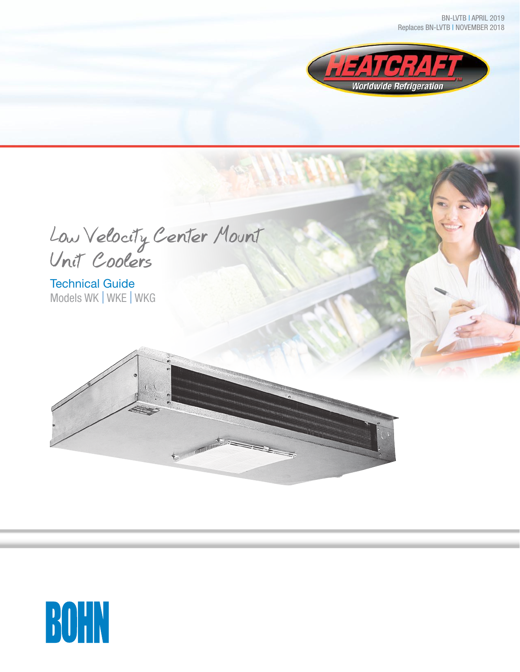BN-LVTB | APRIL 2019 Replaces BN-LVTB | NOVEMBER 2018



Low Velocity Center Mount Unit Coolers

 $(1)$ 

Termanum annum annum

Technical Guide Models WK | WKE | WKG

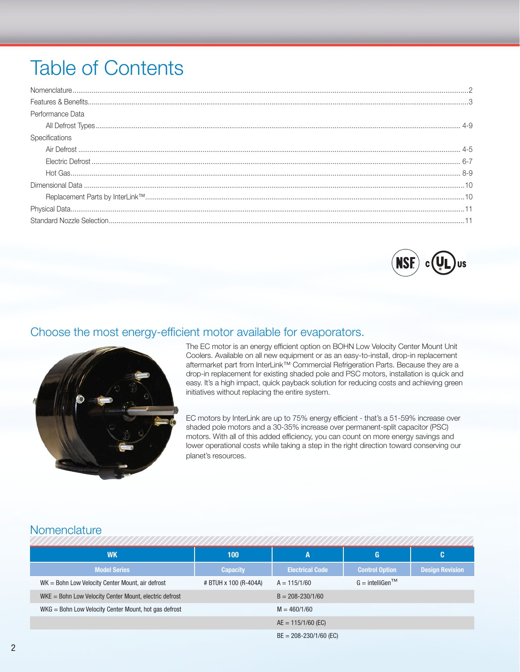# **Table of Contents**

| Performance Data |  |
|------------------|--|
|                  |  |
| Specifications   |  |
|                  |  |
|                  |  |
|                  |  |
|                  |  |
|                  |  |
|                  |  |
|                  |  |



# Choose the most energy-efficient motor available for evaporators.



The EC motor is an energy efficient option on BOHN Low Velocity Center Mount Unit Coolers. Available on all new equipment or as an easy-to-install, drop-in replacement aftermarket part from InterLink<sup>™</sup> Commercial Refrigeration Parts. Because they are a drop-in replacement for existing shaded pole and PSC motors, installation is quick and easy. It's a high impact, quick payback solution for reducing costs and achieving green initiatives without replacing the entire system.

EC motors by InterLink are up to 75% energy efficient - that's a 51-59% increase over shaded pole motors and a 30-35% increase over permanent-split capacitor (PSC) motors. With all of this added efficiency, you can count on more energy savings and lower operational costs while taking a step in the right direction toward conserving our planet's resources.

# Nomenclature

| <b>WK</b>                                                | 100                   | A                          | G                                           | C                      |
|----------------------------------------------------------|-----------------------|----------------------------|---------------------------------------------|------------------------|
| <b>Model Series</b>                                      | <b>Capacity</b>       | <b>Electrical Code</b>     | <b>Control Option</b>                       | <b>Design Revision</b> |
| $WK = Bohn$ Low Velocity Center Mount, air defrost       | # BTUH x 100 (R-404A) | $A = 115/1/60$             | $G =$ intelligen <sup><math>TM</math></sup> |                        |
| $WKE =$ Bohn Low Velocity Center Mount, electric defrost |                       | $B = 208 - 230/1/60$       |                                             |                        |
| WKG = Bohn Low Velocity Center Mount, hot gas defrost    |                       | $M = 460/1/60$             |                                             |                        |
|                                                          |                       | $AE = 115/1/60$ (EC)       |                                             |                        |
|                                                          |                       | $BE = 208 - 230/1/60$ (EC) |                                             |                        |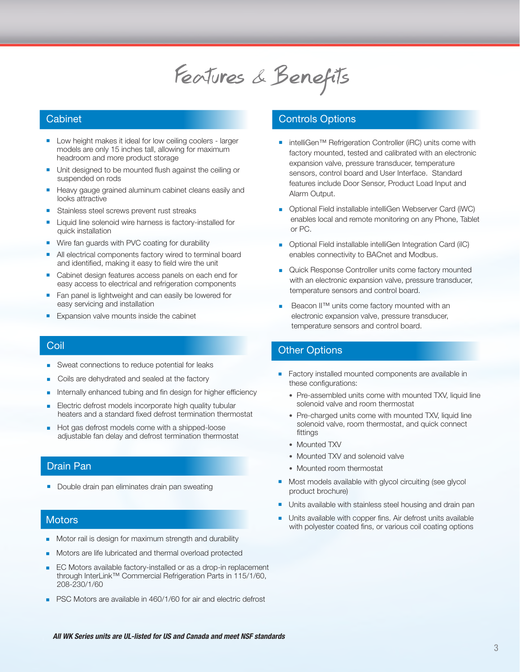# Features & Benefits

#### **Cabinet**

- **n** Low height makes it ideal for low ceiling coolers larger models are only 15 inches tall, allowing for maximum headroom and more product storage
- Unit designed to be mounted flush against the ceiling or suspended on rods
- Heavy gauge grained aluminum cabinet cleans easily and looks attractive
- Stainless steel screws prevent rust streaks
- Liquid line solenoid wire harness is factory-installed for quick installation
- Wire fan guards with PVC coating for durability
- All electrical components factory wired to terminal board and identified, making it easy to field wire the unit
- Cabinet design features access panels on each end for easy access to electrical and refrigeration components
- Fan panel is lightweight and can easily be lowered for easy servicing and installation
- Expansion valve mounts inside the cabinet

#### **Coil**

- Sweat connections to reduce potential for leaks
- Coils are dehydrated and sealed at the factory
- Internally enhanced tubing and fin design for higher efficiency
- Electric defrost models incorporate high quality tubular heaters and a standard fixed defrost termination thermostat
- Hot gas defrost models come with a shipped-loose adjustable fan delay and defrost termination thermostat

#### Drain Pan

Double drain pan eliminates drain pan sweating

#### **Motors**

- Motor rail is design for maximum strength and durability
- <sup>n</sup> Motors are life lubricated and thermal overload protected
- EC Motors available factory-installed or as a drop-in replacement through InterLink™ Commercial Refrigeration Parts in 115/1/60, 208-230/1/60
- PSC Motors are available in 460/1/60 for air and electric defrost

#### Controls Options

- intelliGen™ Refrigeration Controller (iRC) units come with factory mounted, tested and calibrated with an electronic expansion valve, pressure transducer, temperature sensors, control board and User Interface. Standard features include Door Sensor, Product Load Input and Alarm Output.
- **n** Optional Field installable intelliGen Webserver Card (iWC) enables local and remote monitoring on any Phone, Tablet or PC.
- **n** Optional Field installable intelliGen Integration Card (iIC) enables connectivity to BACnet and Modbus.
- **n** Quick Response Controller units come factory mounted with an electronic expansion valve, pressure transducer, temperature sensors and control board.
- Beacon II™ units come factory mounted with an electronic expansion valve, pressure transducer, temperature sensors and control board.

### Other Options

- Factory installed mounted components are available in these configurations:
	- Pre-assembled units come with mounted TXV, liquid line solenoid valve and room thermostat
	- Pre-charged units come with mounted TXV, liquid line solenoid valve, room thermostat, and quick connect fittings
	- Mounted TXV
	- Mounted TXV and solenoid valve
	- Mounted room thermostat
- <sup>n</sup> Most models available with glycol circuiting (see glycol product brochure)
- Units available with stainless steel housing and drain pan
- Units available with copper fins. Air defrost units available with polyester coated fins, or various coil coating options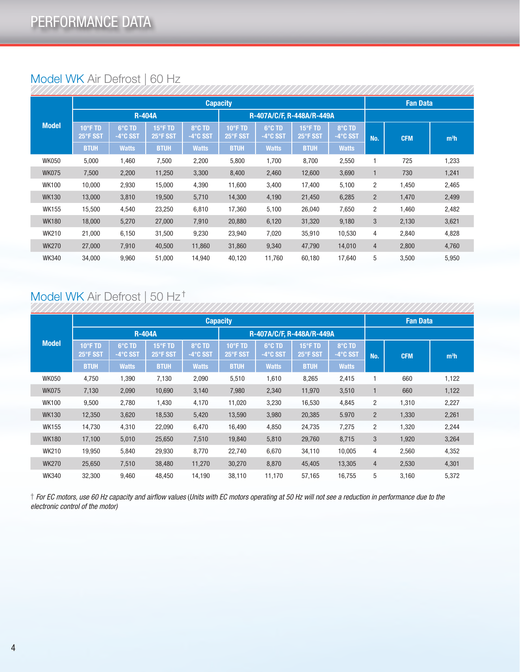|              |                     |                    |                             |                            | <b>Capacity</b>               |                           |                     |                            | <b>Fan Data</b> |            |                  |
|--------------|---------------------|--------------------|-----------------------------|----------------------------|-------------------------------|---------------------------|---------------------|----------------------------|-----------------|------------|------------------|
|              |                     | <b>R-404A</b>      |                             |                            |                               | R-407A/C/F, R-448A/R-449A |                     |                            |                 |            |                  |
| <b>Model</b> | 10°F TD<br>25°F SST | 6°C TD<br>-4°C SST | $15^\circ$ F TD<br>25°F SST | 8°C TD<br>$-4^\circ$ C SST | $10^{\circ}$ F TD<br>25°F SST | 6°C TD<br>-4°C SST        | 15°F TD<br>25°F SST | 8°C TD<br>$-4^\circ$ C SST | No.             | <b>CFM</b> | m <sup>3</sup> h |
|              | <b>BTUH</b>         | <b>Watts</b>       | <b>BTUH</b>                 | <b>Watts</b>               | <b>BTUH</b>                   | <b>Watts</b>              | <b>BTUH</b>         | <b>Watts</b>               |                 |            |                  |
| <b>WK050</b> | 5,000               | 1,460              | 7,500                       | 2,200                      | 5,800                         | 1,700                     | 8,700               | 2,550                      |                 | 725        | 1,233            |
| <b>WK075</b> | 7,500               | 2,200              | 11,250                      | 3,300                      | 8,400                         | 2,460                     | 12,600              | 3,690                      | 1               | 730        | 1,241            |
| <b>WK100</b> | 10,000              | 2,930              | 15,000                      | 4,390                      | 11,600                        | 3,400                     | 17,400              | 5,100                      | 2               | 1,450      | 2,465            |
| <b>WK130</b> | 13,000              | 3,810              | 19,500                      | 5,710                      | 14,300                        | 4,190                     | 21,450              | 6,285                      | $\overline{2}$  | 1,470      | 2,499            |
| <b>WK155</b> | 15,500              | 4,540              | 23,250                      | 6,810                      | 17,360                        | 5,100                     | 26,040              | 7,650                      | 2               | 1,460      | 2,482            |
| <b>WK180</b> | 18,000              | 5,270              | 27,000                      | 7,910                      | 20,880                        | 6,120                     | 31,320              | 9,180                      | 3               | 2,130      | 3,621            |
| <b>WK210</b> | 21,000              | 6,150              | 31,500                      | 9,230                      | 23,940                        | 7,020                     | 35,910              | 10,530                     | 4               | 2,840      | 4,828            |
| <b>WK270</b> | 27,000              | 7,910              | 40,500                      | 11,860                     | 31,860                        | 9,340                     | 47,790              | 14,010                     | 4               | 2,800      | 4,760            |
| <b>WK340</b> | 34,000              | 9,960              | 51,000                      | 14,940                     | 40,120                        | 11,760                    | 60,180              | 17,640                     | 5               | 3,500      | 5,950            |

# Model WK Air Defrost | 60 Hz

# Model WK Air Defrost | 50 Hz †

|  |              |                     |                    |                     |                            | <b>Capacity</b>               |                            |                     |                            | <b>Fan Data</b> |            |                  |
|--|--------------|---------------------|--------------------|---------------------|----------------------------|-------------------------------|----------------------------|---------------------|----------------------------|-----------------|------------|------------------|
|  |              |                     | <b>R-404A</b>      |                     |                            | R-407A/C/F, R-448A/R-449A     |                            |                     |                            |                 |            |                  |
|  | <b>Model</b> | 10°F TD<br>25°F SST | 6°C TD<br>-4°C SST | 15°F TD<br>25°F SST | 8°C TD<br>$-4^\circ$ C SST | $10^{\circ}$ F TD<br>25°F SST | 6°C TD<br>$-4^\circ$ C SST | 15°F TD<br>25°F SST | 8°C TD<br>$-4^\circ$ C SST | No.             | <b>CFM</b> | m <sup>3</sup> h |
|  | <b>BTUH</b>  | <b>Watts</b>        | <b>BTUH</b>        | <b>Watts</b>        | <b>BTUH</b>                | <b>Watts</b>                  | <b>BTUH</b>                | <b>Watts</b>        |                            |                 |            |                  |
|  | <b>WK050</b> | 4,750               | 1,390              | 7,130               | 2,090                      | 5,510                         | 1,610                      | 8,265               | 2,415                      |                 | 660        | 1,122            |
|  | <b>WK075</b> | 7,130               | 2,090              | 10,690              | 3,140                      | 7,980                         | 2,340                      | 11,970              | 3,510                      |                 | 660        | 1,122            |
|  | <b>WK100</b> | 9,500               | 2,780              | 1,430               | 4,170                      | 11,020                        | 3,230                      | 16,530              | 4,845                      | 2               | 1,310      | 2,227            |
|  | <b>WK130</b> | 12,350              | 3,620              | 18,530              | 5,420                      | 13,590                        | 3,980                      | 20,385              | 5.970                      | $\overline{2}$  | 1,330      | 2,261            |
|  | <b>WK155</b> | 14,730              | 4,310              | 22,090              | 6,470                      | 16,490                        | 4,850                      | 24,735              | 7,275                      | $\overline{2}$  | 1,320      | 2,244            |
|  | <b>WK180</b> | 17,100              | 5,010              | 25,650              | 7,510                      | 19,840                        | 5,810                      | 29,760              | 8,715                      | 3               | 1,920      | 3,264            |
|  | <b>WK210</b> | 19,950              | 5,840              | 29,930              | 8,770                      | 22,740                        | 6,670                      | 34,110              | 10,005                     | 4               | 2,560      | 4,352            |
|  | <b>WK270</b> | 25,650              | 7,510              | 38,480              | 11,270                     | 30,270                        | 8,870                      | 45,405              | 13,305                     | $\overline{4}$  | 2,530      | 4,301            |
|  | <b>WK340</b> | 32,300              | 9,460              | 48,450              | 14,190                     | 38,110                        | 11,170                     | 57,165              | 16,755                     | 5               | 3,160      | 5,372            |

† *For EC motors, use 60 Hz capacity and airflow values* (*Units with EC motors operating at 50 Hz will not see a reduction in performance due to the electronic control of the motor)*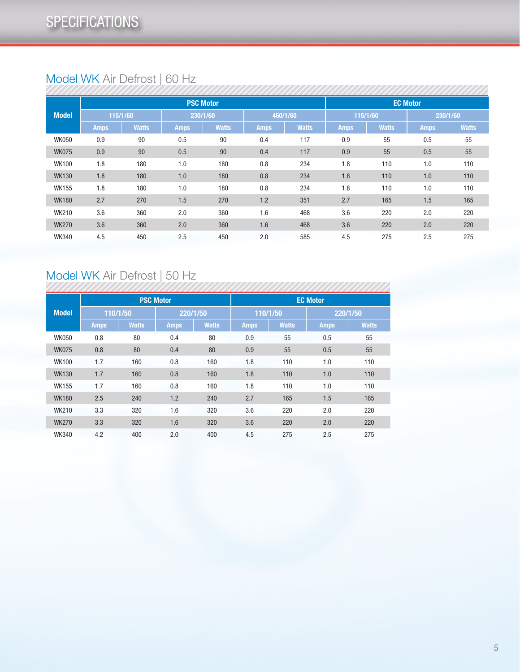# Model WK Air Defrost | 60 Hz

|              | <b>PSC Motor</b><br>115/1/60<br>460/1/60<br>230/1/60<br><b>Watts</b><br><b>Watts</b><br><b>Amps</b><br><b>Amps</b><br><b>Amps</b><br>90<br>90<br>0.4<br>0.9<br>0.5<br>0.9<br>90<br>0.5<br>90<br>0.4<br>0.8<br>1.8<br>180<br>1.0<br>180<br>180<br>1.8<br>180<br>0.8<br>1.0<br>1.8<br>0.8<br>180<br>1.0<br>180<br>2.7<br>270<br>1.5<br>1.2<br>270<br>3.6<br>360<br>1.6<br>360<br>2.0<br>3.6<br>360<br>1.6<br>360<br>2.0 |     |     |                 |     |              |             |              |             |              |
|--------------|-----------------------------------------------------------------------------------------------------------------------------------------------------------------------------------------------------------------------------------------------------------------------------------------------------------------------------------------------------------------------------------------------------------------------|-----|-----|-----------------|-----|--------------|-------------|--------------|-------------|--------------|
|              |                                                                                                                                                                                                                                                                                                                                                                                                                       |     |     | <b>EC Motor</b> |     |              |             |              |             |              |
| <b>Model</b> |                                                                                                                                                                                                                                                                                                                                                                                                                       |     |     |                 |     |              | 115/1/60    |              | 230/1/60    |              |
|              |                                                                                                                                                                                                                                                                                                                                                                                                                       |     |     |                 |     | <b>Watts</b> | <b>Amps</b> | <b>Watts</b> | <b>Amps</b> | <b>Watts</b> |
| <b>WK050</b> |                                                                                                                                                                                                                                                                                                                                                                                                                       |     |     |                 |     | 117          | 0.9         | 55           | 0.5         | 55           |
| <b>WK075</b> |                                                                                                                                                                                                                                                                                                                                                                                                                       |     |     |                 |     | 117          | 0.9         | 55           | 0.5         | 55           |
| <b>WK100</b> |                                                                                                                                                                                                                                                                                                                                                                                                                       |     |     |                 |     | 234          | 1.8         | 110          | 1.0         | 110          |
| <b>WK130</b> |                                                                                                                                                                                                                                                                                                                                                                                                                       |     |     |                 |     | 234          | 1.8         | 110          | 1.0         | 110          |
| <b>WK155</b> |                                                                                                                                                                                                                                                                                                                                                                                                                       |     |     |                 |     | 234          | 1.8         | 110          | 1.0         | 110          |
| <b>WK180</b> |                                                                                                                                                                                                                                                                                                                                                                                                                       |     |     |                 |     | 351          | 2.7         | 165          | 1.5         | 165          |
| <b>WK210</b> |                                                                                                                                                                                                                                                                                                                                                                                                                       |     |     |                 |     | 468          | 3.6         | 220          | 2.0         | 220          |
| <b>WK270</b> |                                                                                                                                                                                                                                                                                                                                                                                                                       |     |     |                 |     | 468          | 3.6         | 220          | 2.0         | 220          |
| <b>WK340</b> | 4.5                                                                                                                                                                                                                                                                                                                                                                                                                   | 450 | 2.5 | 450             | 2.0 | 585          | 4.5         | 275          | 2.5         | 275          |

# Model WK Air Defrost | 50 Hz

|              |             |              | <b>PSC Motor</b> |              | <b>EC Motor</b> |              |             |              |  |  |  |  |  |
|--------------|-------------|--------------|------------------|--------------|-----------------|--------------|-------------|--------------|--|--|--|--|--|
| <b>Model</b> |             | 110/1/50     | 220/1/50         |              | 110/1/50        |              | 220/1/50    |              |  |  |  |  |  |
|              | <b>Amps</b> | <b>Watts</b> | <b>Amps</b>      | <b>Watts</b> | <b>Amps</b>     | <b>Watts</b> | <b>Amps</b> | <b>Watts</b> |  |  |  |  |  |
| <b>WK050</b> | 0.8         | 80           | 0.4              | 80           | 0.9             | 55           | 0.5         | 55           |  |  |  |  |  |
| <b>WK075</b> | 0.8         | 80           | 0.4              | 80           | 0.9             | 55           | 0.5         | 55           |  |  |  |  |  |
| <b>WK100</b> | 1.7         | 160          | 0.8              | 160          | 1.8             | 110          | 1.0         | 110          |  |  |  |  |  |
| <b>WK130</b> | 1.7         | 160          | 0.8              | 160          | 1.8             | 110          | 1.0         | 110          |  |  |  |  |  |
| <b>WK155</b> | 1.7         | 160          | 0.8              | 160          | 1.8             | 110          | 1.0         | 110          |  |  |  |  |  |
| <b>WK180</b> | 2.5         | 240          | 1.2              | 240          | 2.7             | 165          | 1.5         | 165          |  |  |  |  |  |
| <b>WK210</b> | 3.3         | 320          | 1.6              | 320          | 3.6             | 220          | 2.0         | 220          |  |  |  |  |  |
| <b>WK270</b> | 3.3         | 320          | 1.6              | 320          | 3.6             | 220          | 2.0         | 220          |  |  |  |  |  |
| <b>WK340</b> | 4.2         | 400          | 2.0              | 400          | 4.5             | 275          | 2.5         | 275          |  |  |  |  |  |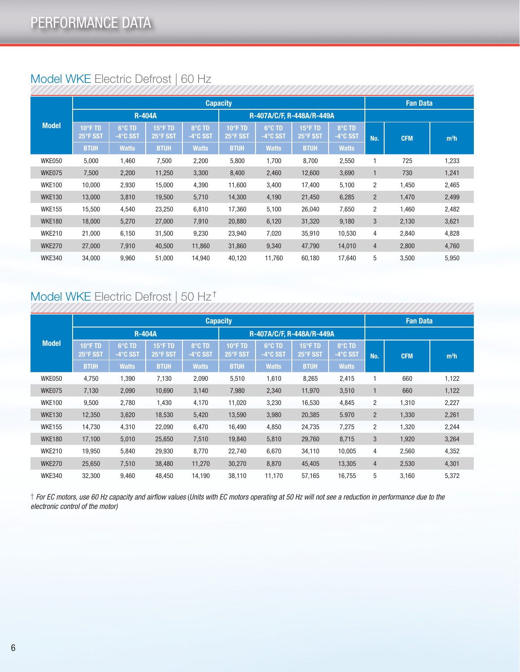|  | Model WKE Electric Defrost   60 Hz |  |
|--|------------------------------------|--|
|  |                                    |  |

|               | <b>Capacity</b>     |                    |                     |                    |                           |                            |                     |                            |                | <b>Fan Data</b> |                  |
|---------------|---------------------|--------------------|---------------------|--------------------|---------------------------|----------------------------|---------------------|----------------------------|----------------|-----------------|------------------|
|               |                     |                    | <b>R-404A</b>       |                    | R-407A/C/F, R-448A/R-449A |                            |                     |                            |                |                 |                  |
| <b>Model</b>  | 10°F TD<br>25°F SST | 6°C TD<br>-4°C SST | 15°F TD<br>25°F SST | 8°C TD<br>-4°C SST | 10°F TD<br>25°F SST       | 6°C TD<br>$-4^\circ$ C SST | 15°F TD<br>25°F SST | 8°C TD<br>$-4^\circ$ C SST | No.            | <b>CFM</b>      | m <sup>3</sup> h |
|               | <b>BTUH</b>         | <b>Watts</b>       | <b>BTUH</b>         | <b>Watts</b>       | <b>BTUH</b>               | <b>Watts</b>               | <b>BTUH</b>         | <b>Watts</b>               |                |                 |                  |
| WKE050        | 5,000               | 1,460              | 7,500               | 2,200              | 5,800                     | 1,700                      | 8,700               | 2,550                      |                | 725             | 1,233            |
| WKE075        | 7,500               | 2,200              | 11,250              | 3,300              | 8,400                     | 2,460                      | 12,600              | 3,690                      | 1              | 730             | 1,241            |
| <b>WKE100</b> | 10,000              | 2,930              | 15,000              | 4,390              | 11,600                    | 3,400                      | 17,400              | 5,100                      | 2              | 1,450           | 2,465            |
| <b>WKE130</b> | 13,000              | 3,810              | 19,500              | 5,710              | 14,300                    | 4,190                      | 21,450              | 6,285                      | $\overline{2}$ | 1,470           | 2,499            |
| <b>WKE155</b> | 15,500              | 4,540              | 23,250              | 6,810              | 17,360                    | 5,100                      | 26,040              | 7,650                      | 2              | 1,460           | 2,482            |
| <b>WKE180</b> | 18,000              | 5,270              | 27,000              | 7,910              | 20,880                    | 6,120                      | 31,320              | 9,180                      | 3              | 2,130           | 3,621            |
| <b>WKE210</b> | 21,000              | 6,150              | 31,500              | 9,230              | 23,940                    | 7,020                      | 35,910              | 10,530                     | 4              | 2,840           | 4,828            |
| <b>WKE270</b> | 27,000              | 7,910              | 40,500              | 11,860             | 31,860                    | 9,340                      | 47,790              | 14,010                     | 4              | 2,800           | 4,760            |
| <b>WKE340</b> | 34,000              | 9,960              | 51,000              | 14,940             | 40,120                    | 11,760                     | 60,180              | 17,640                     | 5              | 3,500           | 5,950            |
|               |                     |                    |                     |                    |                           |                            |                     |                            |                |                 |                  |

# Model WKE Electric Defrost | 50 Hz †

|               |                     | <b>Capacity</b>            |                     |                            |                               |                    |                     |                            |                |            | <b>Fan Data</b>  |  |
|---------------|---------------------|----------------------------|---------------------|----------------------------|-------------------------------|--------------------|---------------------|----------------------------|----------------|------------|------------------|--|
|               |                     | <b>R-404A</b>              |                     |                            | R-407A/C/F, R-448A/R-449A     |                    |                     |                            |                |            |                  |  |
| <b>Model</b>  | 10°F TD<br>25°F SST | 6°C TD<br>$-4^\circ$ C SST | 15°F TD<br>25°F SST | 8°C TD<br>$-4^\circ$ C SST | $10^{\circ}$ F TD<br>25°F SST | 6°C TD<br>-4°C SST | 15°F TD<br>25°F SST | 8°C TD<br>$-4^\circ$ C SST | No.            | <b>CFM</b> | m <sup>3</sup> h |  |
|               | <b>BTUH</b>         | <b>Watts</b>               | <b>BTUH</b>         | <b>Watts</b>               | <b>BTUH</b>                   | <b>Watts</b>       | <b>BTUH</b>         | <b>Watts</b>               |                |            |                  |  |
| WKE050        | 4,750               | 1,390                      | 7,130               | 2,090                      | 5,510                         | 1,610              | 8,265               | 2,415                      |                | 660        | 1,122            |  |
| WKE075        | 7,130               | 2,090                      | 10,690              | 3,140                      | 7,980                         | 2,340              | 11,970              | 3,510                      | 1              | 660        | 1,122            |  |
| <b>WKE100</b> | 9,500               | 2,780                      | 1,430               | 4,170                      | 11,020                        | 3,230              | 16,530              | 4,845                      | 2              | 1,310      | 2,227            |  |
| <b>WKE130</b> | 12,350              | 3,620                      | 18,530              | 5,420                      | 13,590                        | 3,980              | 20,385              | 5.970                      | $\overline{2}$ | 1,330      | 2,261            |  |
| <b>WKE155</b> | 14,730              | 4,310                      | 22,090              | 6,470                      | 16,490                        | 4,850              | 24,735              | 7,275                      | $\overline{2}$ | 1,320      | 2,244            |  |
| <b>WKE180</b> | 17,100              | 5,010                      | 25,650              | 7,510                      | 19,840                        | 5,810              | 29,760              | 8,715                      | 3              | 1,920      | 3,264            |  |
| <b>WKE210</b> | 19,950              | 5,840                      | 29,930              | 8,770                      | 22,740                        | 6,670              | 34,110              | 10,005                     | 4              | 2,560      | 4,352            |  |
| <b>WKE270</b> | 25,650              | 7,510                      | 38,480              | 11,270                     | 30,270                        | 8,870              | 45,405              | 13,305                     | $\overline{4}$ | 2,530      | 4,301            |  |
| <b>WKE340</b> | 32,300              | 9,460                      | 48,450              | 14,190                     | 38,110                        | 11,170             | 57,165              | 16,755                     | 5              | 3,160      | 5,372            |  |

† *For EC motors, use 60 Hz capacity and airflow values* (*Units with EC motors operating at 50 Hz will not see a reduction in performance due to the electronic control of the motor)*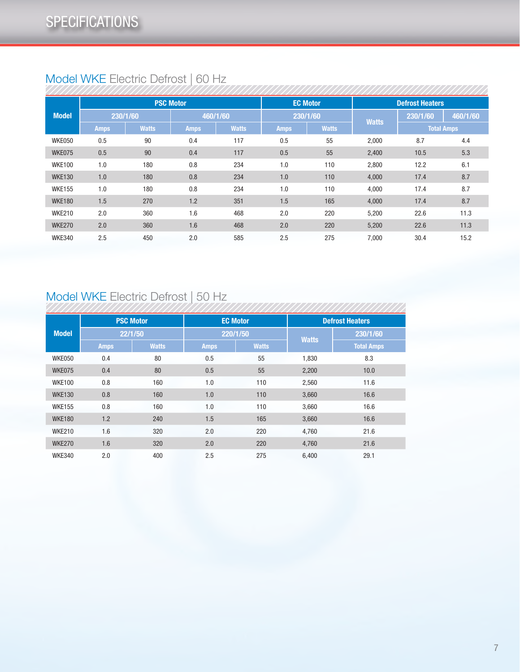# Model WKE Electric Defrost | 60 Hz

|               | <b>PSC Motor</b><br>230/1/60<br>460/1/60<br><b>Watts</b><br><b>Amps</b><br><b>Amps</b><br>90<br>0.4<br>0.5<br>0.5<br>90<br>0.4<br>0.8<br>1.0<br>180<br>1.0<br>0.8<br>180<br>0.8<br>1.0<br>180<br>1.2<br>1.5<br>270<br>1.6<br>2.0<br>360 |     |     |              |                 |              |                        |                   |          |  |
|---------------|-----------------------------------------------------------------------------------------------------------------------------------------------------------------------------------------------------------------------------------------|-----|-----|--------------|-----------------|--------------|------------------------|-------------------|----------|--|
|               |                                                                                                                                                                                                                                         |     |     |              | <b>EC Motor</b> |              | <b>Defrost Heaters</b> |                   |          |  |
| <b>Model</b>  |                                                                                                                                                                                                                                         |     |     |              | 230/1/60        |              | <b>Watts</b>           | 230/1/60          | 460/1/60 |  |
|               |                                                                                                                                                                                                                                         |     |     | <b>Watts</b> | <b>Amps</b>     | <b>Watts</b> |                        | <b>Total Amps</b> |          |  |
| WKE050        |                                                                                                                                                                                                                                         |     |     | 117          | 0.5             | 55           | 2,000                  | 8.7               | 4.4      |  |
| WKE075        |                                                                                                                                                                                                                                         |     |     | 117          | 0.5             | 55           | 2,400                  | 10.5              | 5.3      |  |
| <b>WKE100</b> |                                                                                                                                                                                                                                         |     |     | 234          | 1.0             | 110          | 2,800                  | 12.2              | 6.1      |  |
| <b>WKE130</b> |                                                                                                                                                                                                                                         |     |     | 234          | 1.0             | 110          | 4,000                  | 17.4              | 8.7      |  |
| <b>WKE155</b> |                                                                                                                                                                                                                                         |     |     | 234          | 1.0             | 110          | 4,000                  | 17.4              | 8.7      |  |
| <b>WKE180</b> |                                                                                                                                                                                                                                         |     |     | 351          | 1.5             | 165          | 4,000                  | 17.4              | 8.7      |  |
| <b>WKE210</b> |                                                                                                                                                                                                                                         |     |     | 468          | 2.0             | 220          | 5,200                  | 22.6              | 11.3     |  |
| <b>WKE270</b> | 2.0                                                                                                                                                                                                                                     | 360 | 1.6 | 468          | 2.0             | 220          | 5,200                  | 22.6              | 11.3     |  |
| <b>WKE340</b> | 2.5                                                                                                                                                                                                                                     | 450 | 2.0 | 585          | 2.5             | 275          | 7,000                  | 30.4              | 15.2     |  |

# Model WKE Electric Defrost | 50 Hz

|               |             | <b>PSC Motor</b> |             | <b>EC Motor</b> |              | <b>Defrost Heaters</b> |
|---------------|-------------|------------------|-------------|-----------------|--------------|------------------------|
| <b>Model</b>  |             | 22/1/50          |             | 220/1/50        | <b>Watts</b> | 230/1/60               |
|               | <b>Amps</b> | <b>Watts</b>     | <b>Amps</b> | <b>Watts</b>    |              | <b>Total Amps</b>      |
| WKE050        | 0.4         | 80               | 0.5         | 55              | 1,830        | 8.3                    |
| WKE075        | 0.4         | 80               | 0.5         | 55              | 2,200        | 10.0                   |
| <b>WKE100</b> | 0.8         | 160              | 1.0         | 110             | 2,560        | 11.6                   |
| <b>WKE130</b> | 0.8         | 160              | 1.0         | 110             | 3,660        | 16.6                   |
| <b>WKE155</b> | 0.8         | 160              | 1.0         | 110             | 3,660        | 16.6                   |
| <b>WKE180</b> | 1.2         | 240              | 1.5         | 165             | 3,660        | 16.6                   |
| <b>WKE210</b> | 1.6         | 320              | 2.0         | 220             | 4,760        | 21.6                   |
| <b>WKE270</b> | 1.6         | 320              | 2.0         | 220             | 4,760        | 21.6                   |
| <b>WKE340</b> | 2.0         | 400              | 2.5         | 275             | 6,400        | 29.1                   |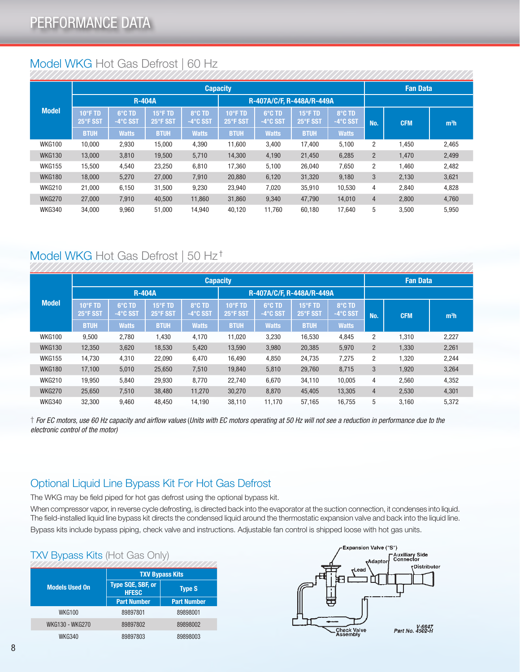# Model WKG Hot Gas Defrost | 60 Hz

|               |                     |                            |                     |                    | <b>Capacity</b>               |                            |                     |                    | <b>Fan Data</b> |            |                  |  |  |
|---------------|---------------------|----------------------------|---------------------|--------------------|-------------------------------|----------------------------|---------------------|--------------------|-----------------|------------|------------------|--|--|
|               |                     | <b>R-404A</b>              |                     |                    |                               | R-407A/C/F. R-448A/R-449A  |                     |                    |                 |            |                  |  |  |
| Model         | 10°F TD<br>25°F SST | 6°C TD<br>$-4^\circ$ C SST | 15°F TD<br>25°F SST | 8°C TD<br>-4°C SST | $10^{\circ}$ F TD<br>25°F SST | 6°C TD<br>$-4^\circ$ C SST | 15°F TD<br>25°F SST | 8°C TD<br>-4°C SST | No.             | <b>CFM</b> | m <sup>3</sup> h |  |  |
|               | <b>BTUH</b>         | <b>Watts</b>               | <b>BTUH</b>         | <b>Watts</b>       | <b>BTUH</b>                   | <b>Watts</b>               | <b>BTUH</b>         | <b>Watts</b>       |                 |            |                  |  |  |
| <b>WKG100</b> | 10,000              | 2,930                      | 15,000              | 4,390              | 11,600                        | 3,400                      | 17,400              | 5,100              | $\overline{c}$  | .450       | 2,465            |  |  |
| <b>WKG130</b> | 13,000              | 3,810                      | 19,500              | 5,710              | 14,300                        | 4,190                      | 21,450              | 6,285              | $\overline{2}$  | 1,470      | 2,499            |  |  |
| <b>WKG155</b> | 15,500              | 4,540                      | 23,250              | 6,810              | 17,360                        | 5,100                      | 26,040              | 7,650              | $\overline{2}$  | .460       | 2,482            |  |  |
| <b>WKG180</b> | 18,000              | 5,270                      | 27,000              | 7,910              | 20,880                        | 6,120                      | 31,320              | 9,180              | 3               | 2,130      | 3,621            |  |  |
| <b>WKG210</b> | 21,000              | 6,150                      | 31,500              | 9,230              | 23,940                        | 7,020                      | 35,910              | 10,530             | 4               | 2,840      | 4,828            |  |  |
| <b>WKG270</b> | 27,000              | 7,910                      | 40,500              | 11,860             | 31,860                        | 9,340                      | 47,790              | 14,010             | 4               | 2,800      | 4,760            |  |  |
| <b>WKG340</b> | 34.000              | 9,960                      | 51.000              | 14.940             | 40,120                        | 11,760                     | 60.180              | 17,640             | 5               | 3,500      | 5,950            |  |  |

# Model WKG Hot Gas Defrost | 50 Hz †

|               | <b>Capacity</b>     |                            |                     |                            |                              |                            |                     |                            | <b>Fan Data</b> |            |                  |
|---------------|---------------------|----------------------------|---------------------|----------------------------|------------------------------|----------------------------|---------------------|----------------------------|-----------------|------------|------------------|
|               |                     | <b>R-404A</b>              |                     |                            |                              | R-407A/C/F. R-448A/R-449A  |                     |                            |                 |            |                  |
| <b>Model</b>  | 10°F TD<br>25°F SST | 6°C TD<br>$-4^\circ$ C SST | 15°F TD<br>25°F SST | 8°C TD<br>$-4^\circ$ C SST | $10^{\circ}$ FTD<br>25°F SST | 6°C TD<br>$-4^\circ$ C SST | 15°F TD<br>25°F SST | 8°C TD<br>$-4^\circ$ C SST | No.             | <b>CFM</b> | m <sup>3</sup> h |
|               | <b>BTUH</b>         | <b>Watts</b>               | <b>BTUH</b>         | <b>Watts</b>               | <b>BTUH</b>                  | <b>Watts</b>               | <b>BTUH</b>         | <b>Watts</b>               |                 |            |                  |
| <b>WKG100</b> | 9,500               | 2,780                      | 1,430               | 4,170                      | 11,020                       | 3,230                      | 16,530              | 4,845                      | 2               | 1,310      | 2,227            |
| <b>WKG130</b> | 12,350              | 3,620                      | 18,530              | 5,420                      | 13,590                       | 3,980                      | 20,385              | 5,970                      | $\overline{2}$  | 1,330      | 2,261            |
| <b>WKG155</b> | 14,730              | 4,310                      | 22,090              | 6,470                      | 16,490                       | 4,850                      | 24,735              | 7,275                      | 2               | 1,320      | 2,244            |
| <b>WKG180</b> | 17,100              | 5,010                      | 25,650              | 7,510                      | 19,840                       | 5,810                      | 29,760              | 8,715                      | 3               | 1,920      | 3,264            |
| <b>WKG210</b> | 19,950              | 5,840                      | 29,930              | 8,770                      | 22,740                       | 6,670                      | 34,110              | 10.005                     | 4               | 2,560      | 4,352            |
| <b>WKG270</b> | 25,650              | 7,510                      | 38,480              | 11,270                     | 30,270                       | 8,870                      | 45,405              | 13,305                     | 4               | 2,530      | 4,301            |
| <b>WKG340</b> | 32.300              | 9.460                      | 48,450              | 14,190                     | 38,110                       | 11,170                     | 57.165              | 16,755                     | 5               | 3,160      | 5,372            |

† *For EC motors, use 60 Hz capacity and airflow values* (*Units with EC motors operating at 50 Hz will not see a reduction in performance due to the electronic control of the motor)*

# Optional Liquid Line Bypass Kit For Hot Gas Defrost

The WKG may be field piped for hot gas defrost using the optional bypass kit.

When compressor vapor, in reverse cycle defrosting, is directed back into the evaporator at the suction connection, it condenses into liquid. The field-installed liquid line bypass kit directs the condensed liquid around the thermostatic expansion valve and back into the liquid line. Bypass kits include bypass piping, check valve and instructions. Adjustable fan control is shipped loose with hot gas units.

### TXV Bypass Kits (Hot Gas Only)

|                        |                                   | <b>TXV Bypass Kits</b> |
|------------------------|-----------------------------------|------------------------|
| <b>Models Used On</b>  | Type SQE, SBF, or<br><b>HFESC</b> | <b>Type S</b>          |
|                        | <b>Part Number</b>                | <b>Part Number</b>     |
| <b>WKG100</b>          | 89897801                          | 89898001               |
| <b>WKG130 - WKG270</b> | 89897802                          | 89898002               |
| <b>WKG340</b>          | 89897803                          | 89898003               |

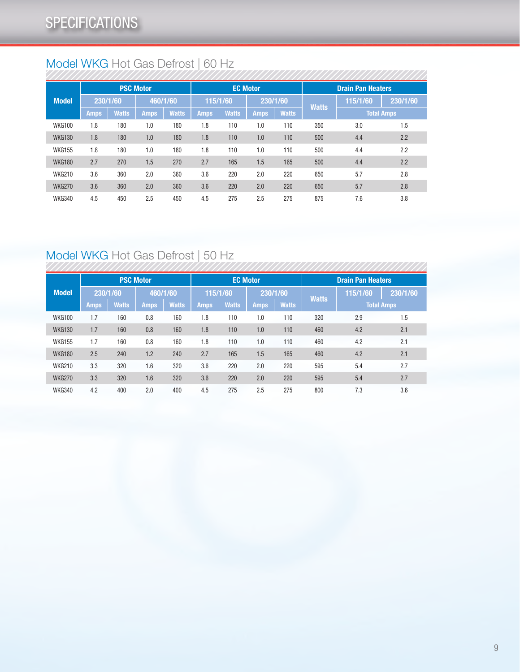# Model WKG Hot Gas Defrost | 60 Hz

|               | <b>PSC Motor</b> |              |             | <b>EC Motor</b> |             |              |             | <b>Drain Pan Heaters</b> |              |                   |          |
|---------------|------------------|--------------|-------------|-----------------|-------------|--------------|-------------|--------------------------|--------------|-------------------|----------|
| <b>Model</b>  | 230/1/60         |              | 460/1/60    |                 | 115/1/60    |              |             | 230/1/60                 | <b>Watts</b> | 115/1/60          | 230/1/60 |
|               | <b>Amps</b>      | <b>Watts</b> | <b>Amps</b> | <b>Watts</b>    | <b>Amps</b> | <b>Watts</b> | <b>Amps</b> | <b>Watts</b>             |              | <b>Total Amps</b> |          |
| <b>WKG100</b> | 1.8              | 180          | 1.0         | 180             | 1.8         | 110          | 1.0         | 110                      | 350          | 3.0               | 1.5      |
| <b>WKG130</b> | 1.8              | 180          | 1.0         | 180             | 1.8         | 110          | 1.0         | 110                      | 500          | 4.4               | 2.2      |
| <b>WKG155</b> | 1.8              | 180          | 1.0         | 180             | 1.8         | 110          | 1.0         | 110                      | 500          | 4.4               | 2.2      |
| <b>WKG180</b> | 2.7              | 270          | 1.5         | 270             | 2.7         | 165          | 1.5         | 165                      | 500          | 4.4               | 2.2      |
| <b>WKG210</b> | 3.6              | 360          | 2.0         | 360             | 3.6         | 220          | 2.0         | 220                      | 650          | 5.7               | 2.8      |
| <b>WKG270</b> | 3.6              | 360          | 2.0         | 360             | 3.6         | 220          | 2.0         | 220                      | 650          | 5.7               | 2.8      |
| <b>WKG340</b> | 4.5              | 450          | 2.5         | 450             | 4.5         | 275          | 2.5         | 275                      | 875          | 7.6               | 3.8      |

# Model WKG Hot Gas Defrost | 50 Hz

|               | 1           |              |                  |              |             |              |                 |              |                          |          |                   |  |
|---------------|-------------|--------------|------------------|--------------|-------------|--------------|-----------------|--------------|--------------------------|----------|-------------------|--|
|               |             |              | <b>PSC Motor</b> |              |             |              | <b>EC Motor</b> |              | <b>Drain Pan Heaters</b> |          |                   |  |
| <b>Model</b>  | 230/1/60    |              |                  | 460/1/60     |             | 115/1/60     |                 | 230/1/60     | <b>Watts</b>             | 115/1/60 | 230/1/60          |  |
|               | <b>Amps</b> | <b>Watts</b> | <b>Amps</b>      | <b>Watts</b> | <b>Amps</b> | <b>Watts</b> | <b>Amps</b>     | <b>Watts</b> |                          |          | <b>Total Amps</b> |  |
| <b>WKG100</b> | 1.7         | 160          | 0.8              | 160          | 1.8         | 110          | 1.0             | 110          | 320                      | 2.9      | 1.5               |  |
| <b>WKG130</b> | 1.7         | 160          | 0.8              | 160          | 1.8         | 110          | 1.0             | 110          | 460                      | 4.2      | 2.1               |  |
| <b>WKG155</b> | 1.7         | 160          | 0.8              | 160          | 1.8         | 110          | 1.0             | 110          | 460                      | 4.2      | 2.1               |  |
| <b>WKG180</b> | 2.5         | 240          | 1.2              | 240          | 2.7         | 165          | 1.5             | 165          | 460                      | 4.2      | 2.1               |  |
| <b>WKG210</b> | 3.3         | 320          | 1.6              | 320          | 3.6         | 220          | 2.0             | 220          | 595                      | 5.4      | 2.7               |  |
| <b>WKG270</b> | 3.3         | 320          | 1.6              | 320          | 3.6         | 220          | 2.0             | 220          | 595                      | 5.4      | 2.7               |  |
| <b>WKG340</b> | 4.2         | 400          | 2.0              | 400          | 4.5         | 275          | 2.5             | 275          | 800                      | 7.3      | 3.6               |  |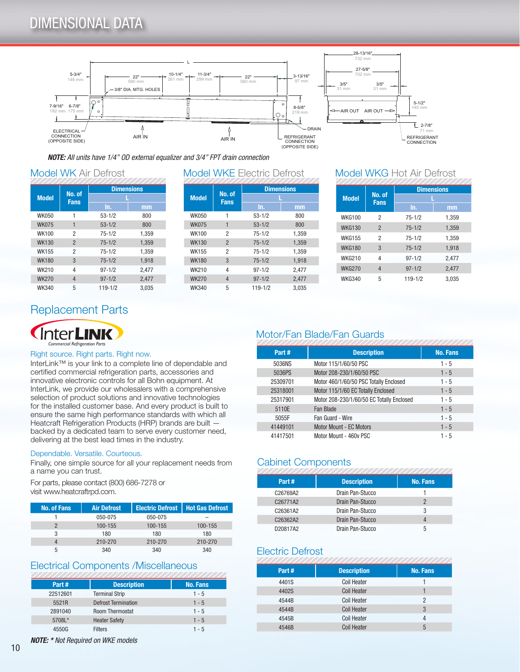# DIMENSIONAL DATA



*NOTE: All units have 1/4" OD external equalizer and 3/4" FPT drain connection*

### Model WK Air Defrost

|              |                       | <b>Dimensions</b> |       |  |
|--------------|-----------------------|-------------------|-------|--|
| <b>Model</b> | No. of<br><b>Fans</b> |                   |       |  |
|              |                       | In.               | mm    |  |
| <b>WK050</b> |                       | $53 - 1/2$        | 800   |  |
| <b>WK075</b> | 1                     | $53 - 1/2$        | 800   |  |
| <b>WK100</b> | 2                     | $75 - 1/2$        | 1,359 |  |
| <b>WK130</b> | $\overline{2}$        | $75 - 1/2$        | 1,359 |  |
| <b>WK155</b> | $\overline{2}$        | $75 - 1/2$        | 1.359 |  |
| <b>WK180</b> | 3                     | $75 - 1/2$        | 1,918 |  |
| WK210        | 4                     | $97 - 1/2$        | 2.477 |  |
| <b>WK270</b> | $\overline{4}$        | $97 - 1/2$        | 2,477 |  |
| <b>WK340</b> | 5                     | $119 - 1/2$       | 3.035 |  |

### Model WKE Electric Defrost \_\_\_ Model WKG Hot Air Defrost

|              |                       | <b>Dimensions</b> |       |  |  |
|--------------|-----------------------|-------------------|-------|--|--|
| <b>Model</b> | No. of<br><b>Fans</b> |                   |       |  |  |
|              |                       | In.               | mm    |  |  |
| <b>WK050</b> | 1                     | $53 - 1/2$        | 800   |  |  |
| <b>WK075</b> | 1                     | $53 - 1/2$        | 800   |  |  |
| <b>WK100</b> | $\overline{2}$        | $75 - 1/2$        | 1.359 |  |  |
| <b>WK130</b> | $\overline{2}$        | $75 - 1/2$        | 1.359 |  |  |
| <b>WK155</b> | 2                     | $75 - 1/2$        | 1,359 |  |  |
| <b>WK180</b> | 3                     | $75 - 1/2$        | 1.918 |  |  |
| <b>WK210</b> | 4                     | $97 - 1/2$        | 2.477 |  |  |
| <b>WK270</b> | 4                     | $97 - 1/2$        | 2,477 |  |  |
| <b>WK340</b> | 5                     | $119 - 1/2$       | 3.035 |  |  |

|               |                       | <b>Dimensions</b> |       |
|---------------|-----------------------|-------------------|-------|
| <b>Model</b>  | No. of<br><b>Fans</b> |                   |       |
|               |                       | In.               | mm    |
| <b>WKG100</b> | 2                     | $75 - 1/2$        | 1,359 |
| <b>WKG130</b> | $\overline{2}$        | $75 - 1/2$        | 1,359 |
| <b>WKG155</b> | 2                     | $75 - 1/2$        | 1,359 |
| <b>WKG180</b> | 3                     | $75 - 1/2$        | 1,918 |
| <b>WKG210</b> | 4                     | $97 - 1/2$        | 2,477 |
| <b>WKG270</b> | 4                     | $97 - 1/2$        | 2,477 |
| <b>WKG340</b> | 5                     | $119 - 1/2$       | 3.035 |
|               |                       |                   |       |

# Replacement Parts



#### Right source. Right parts. Right now.

InterLink™ is your link to a complete line of dependable and certified commercial refrigeration parts, accessories and innovative electronic controls for all Bohn equipment. At InterLink, we provide our wholesalers with a comprehensive selection of product solutions and innovative technologies for the installed customer base. And every product is built to ensure the same high performance standards with which all Heatcraft Refrigeration Products (HRP) brands are built backed by a dedicated team to serve every customer need, delivering at the best lead times in the industry.

#### Dependable. Versatile. Courteous.

Finally, one simple source for all your replacement needs from a name you can trust.

For parts, please contact (800) 686-7278 or visit www.heatcraftrpd.com.

| <b>No. of Fans</b> | <b>Air Defrost</b> | Electric Defrost   Hot Gas Defrost |         |
|--------------------|--------------------|------------------------------------|---------|
|                    | 050-075            | 050-075                            |         |
|                    | 100-155            | 100-155                            | 100-155 |
|                    | 180                | 180                                | 180     |
|                    | 210-270            | 210-270                            | 210-270 |
|                    | 340                | 340                                | 340     |

### Electrical Components /Miscellaneous

| Part#    | <b>Description</b>         | <b>No. Fans</b> |
|----------|----------------------------|-----------------|
| 22512601 | <b>Terminal Strip</b>      | $1 - 5$         |
| 5521R    | <b>Defrost Termination</b> | $1 - 5$         |
| 2891040  | <b>Room Thermostat</b>     | $1 - 5$         |
| 5708L*   | <b>Heater Safety</b>       | $1 - 5$         |
| 4550G    | <b>Filters</b>             | 1 - 5           |

# Motor/Fan Blade/Fan Guards

| Part#    | <b>Description</b>                        | <b>No. Fans</b> |
|----------|-------------------------------------------|-----------------|
| 5036NS   | Motor 115/1/60/50 PSC                     | $1 - 5$         |
| 5036PS   | Motor 208-230/1/60/50 PSC                 | $1 - 5$         |
| 25309701 | Motor 460/1/60/50 PSC Totally Enclosed    | $1 - 5$         |
| 25318001 | Motor 115/1/60 EC Totally Enclosed        | $1 - 5$         |
| 25317901 | Motor 208-230/1/60/50 EC Totally Enclosed | $1 - 5$         |
| 5110E    | Fan Blade                                 | $1 - 5$         |
| 5055F    | Fan Guard - Wire                          | $1 - 5$         |
| 41449101 | <b>Motor Mount - EC Motors</b>            | $1 - 5$         |
| 41417501 | Motor Mount - 460y PSC                    | $1 - 5$         |
|          |                                           |                 |

# Cabinet Components

| Part#    | <b>Description</b> | <b>No. Fans</b> |
|----------|--------------------|-----------------|
| C26769A2 | Drain Pan-Stucco   |                 |
| C26771A2 | Drain Pan-Stucco   | 2               |
| C26361A2 | Drain Pan-Stucco   | 3               |
| C26362A2 | Drain Pan-Stucco   | 4               |
| D20817A2 | Drain Pan-Stucco   | 5               |
|          |                    |                 |

### Electric Defrost

|       | ,,,,,,,,,,,,,,,,,,,,,,,,,,,, |                 |
|-------|------------------------------|-----------------|
| Part# | <b>Description</b>           | <b>No. Fans</b> |
| 4401S | <b>Coil Heater</b>           |                 |
| 4402S | <b>Coil Heater</b>           |                 |
| 4544B | <b>Coil Heater</b>           | 2               |
| 4544B | <b>Coil Heater</b>           | 3               |
| 4545B | <b>Coil Heater</b>           | 4               |
| 4546B | <b>Coil Heater</b>           | 5               |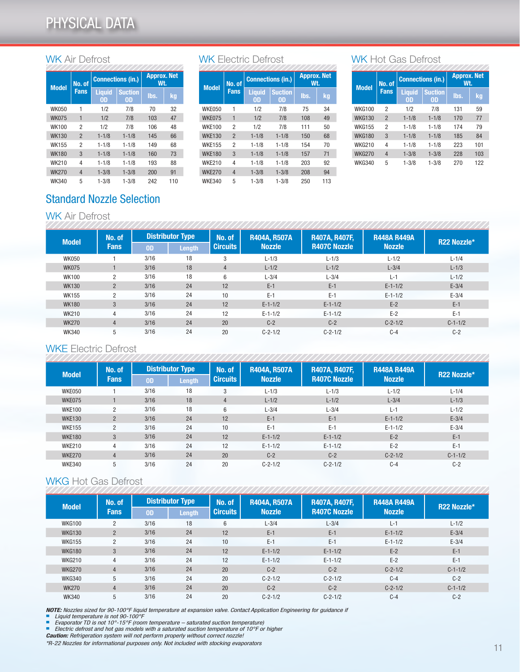### WK Air Defrost

|  |              | No. of<br><b>Model</b><br><b>Fans</b> |                     | <b>Connections (in.)</b> | <b>Approx. Net</b><br>Wt. |     |  |  |  |  |
|--|--------------|---------------------------------------|---------------------|--------------------------|---------------------------|-----|--|--|--|--|
|  |              |                                       | <b>Liquid</b><br>0D | <b>Suction</b><br>OD     | lbs.                      | kg  |  |  |  |  |
|  | <b>WK050</b> | 1                                     | 1/2                 | 7/8                      | 70                        | 32  |  |  |  |  |
|  | <b>WK075</b> | $\overline{1}$                        | 1/2                 | 7/8                      | 103                       | 47  |  |  |  |  |
|  | <b>WK100</b> | 2                                     | 1/2                 | 7/8                      | 106                       | 48  |  |  |  |  |
|  | <b>WK130</b> | $\overline{2}$                        | $1 - 1/8$           | $1 - 1/8$                | 145                       | 66  |  |  |  |  |
|  | <b>WK155</b> | $\overline{2}$                        | $1 - 1/8$           | $1 - 1/8$                | 149                       | 68  |  |  |  |  |
|  | <b>WK180</b> | 3                                     | $1 - 1/8$           | $1 - 1/8$                | 160                       | 73  |  |  |  |  |
|  | <b>WK210</b> | 4                                     | $1 - 1/8$           | $1 - 1/8$                | 193                       | 88  |  |  |  |  |
|  | <b>WK270</b> | 4                                     | $1 - 3/8$           | $1 - 3/8$                | 200                       | 91  |  |  |  |  |
|  | <b>WK340</b> | 5                                     | $1 - 3/8$           | $1 - 3/8$                | 242                       | 110 |  |  |  |  |

### WK Electric Defrost

| <b>Model</b>  | No. of         |                     | <b>Connections (in.)</b> | <b>Approx. Net</b><br>Wt. |     |  |
|---------------|----------------|---------------------|--------------------------|---------------------------|-----|--|
|               | <b>Fans</b>    | <b>Liquid</b><br>OD | <b>Suction</b><br>OD     | lbs.                      | kg  |  |
| <b>WKE050</b> | 1              | 1/2                 | 7/8                      | 75                        | 34  |  |
| WKE075        | 1              | 1/2                 | 7/8                      | 108                       | 49  |  |
| <b>WKE100</b> | $\overline{2}$ | 1/2                 | 7/8                      | 111                       | 50  |  |
| <b>WKE130</b> | $\overline{2}$ | $1 - 1/8$           | $1 - 1/8$                | 150                       | 68  |  |
| <b>WKE155</b> | 2              | $1 - 1/8$           | $1 - 1/8$                | 154                       | 70  |  |
| <b>WKE180</b> | 3              | $1 - 1/8$           | $1 - 1/8$                | 157                       | 71  |  |
| <b>WKE210</b> | 4              | $1 - 1/8$           | $1 - 1/8$                | 203                       | 92  |  |
| <b>WKE270</b> | $\overline{4}$ | $1 - 3/8$           | $1 - 3/8$                | 208                       | 94  |  |
| <b>WKE340</b> | 5              | $1 - 3/8$           | $1 - 3/8$                | 250                       | 113 |  |

### WK Hot Gas Defrost

| <b>Model</b>  | No. of         |                     | <b>Connections (in.)</b> | <b>Approx. Net</b><br>Wt. |     |  |  |  |  |
|---------------|----------------|---------------------|--------------------------|---------------------------|-----|--|--|--|--|
|               | <b>Fans</b>    | <b>Liquid</b><br>OD | <b>Suction</b><br>OD     | lbs.                      | kg  |  |  |  |  |
| <b>WKG100</b> | 2              | 1/2                 | 7/8                      | 131                       | 59  |  |  |  |  |
| <b>WKG130</b> | $\overline{2}$ | $1 - 1/8$           | $1 - 1/8$                | 170                       | 77  |  |  |  |  |
| <b>WKG155</b> | 2              | $1 - 1/8$           | $1 - 1/8$                | 174                       | 79  |  |  |  |  |
| <b>WKG180</b> | 3              | $1 - 1/8$           | $1 - 1/8$                | 185                       | 84  |  |  |  |  |
| <b>WKG210</b> | 4              | $1 - 1/8$           | $1 - 1/8$                | 223                       | 101 |  |  |  |  |
| <b>WKG270</b> | $1 - 3/8$<br>4 |                     | $1 - 3/8$                | 228                       | 103 |  |  |  |  |
| <b>WKG340</b> | 5              | $1 - 3/8$           | $1 - 3/8$                | 270                       | 122 |  |  |  |  |

# Standard Nozzle Selection

### WK Air Defrost

| <b>Model</b> | No. of         | <b>Distributor Type</b> |        | No. of          | <b>R404A, R507A</b><br><b>Nozzle</b> | <b>R407A, R407F,</b><br><b>R407C Nozzle</b> | <b>R448A R449A</b><br><b>Nozzle</b> | R22 Nozzle* |
|--------------|----------------|-------------------------|--------|-----------------|--------------------------------------|---------------------------------------------|-------------------------------------|-------------|
|              | <b>Fans</b>    | <b>OD</b>               | Length | <b>Circuits</b> |                                      |                                             |                                     |             |
| <b>WK050</b> |                | 3/16                    | 18     | 3               | $L - 1/3$                            | $L - 1/3$                                   | $L - 1/2$                           | $L - 1/4$   |
| <b>WK075</b> |                | 3/16                    | 18     | $\overline{4}$  | $L - 1/2$                            | $L - 1/2$                                   | $L - 3/4$                           | $L - 1/3$   |
| <b>WK100</b> | $\mathfrak{p}$ | 3/16                    | 18     | 6               | $L - 3/4$                            | $L - 3/4$                                   | $L-1$                               | $L - 1/2$   |
| <b>WK130</b> | $\overline{2}$ | 3/16                    | 24     | 12              | $E-1$                                | $E-1$                                       | $E-1-1/2$                           | $E - 3/4$   |
| <b>WK155</b> | $\overline{2}$ | 3/16                    | 24     | 10              | $E-1$                                | $E-1$                                       | $E-1-1/2$                           | $E - 3/4$   |
| <b>WK180</b> | 3              | 3/16                    | 24     | 12              | $E-1-1/2$                            | $E-1-1/2$                                   | $E-2$                               | $E-1$       |
| <b>WK210</b> | $\overline{4}$ | 3/16                    | 24     | 12              | $E-1-1/2$                            | $E-1-1/2$                                   | $E-2$                               | $E-1$       |
| <b>WK270</b> | $\overline{4}$ | 3/16                    | 24     | 20              | $C-2$                                | $C-2$                                       | $C-2-1/2$                           | $C-1-1/2$   |
| <b>WK340</b> | 5              | 3/16                    | 24     | 20              | $C-2-1/2$                            | $C - 2 - 1/2$                               | $C-4$                               | $C-2$       |

# WKE Electric Defrost

| <b>Model</b>  | No. of<br><b>Fans</b> | <b>Distributor Type</b> |               | No. of          | <b>R404A, R507A</b> | <b>R407A, R407F,</b> | <b>R448A R449A</b> | R22 Nozzle* |
|---------------|-----------------------|-------------------------|---------------|-----------------|---------------------|----------------------|--------------------|-------------|
|               |                       | <b>OD</b>               | <b>Length</b> | <b>Circuits</b> | <b>Nozzle</b>       | <b>R407C Nozzle</b>  | <b>Nozzle</b>      |             |
| WKE050        |                       | 3/16                    | 18            | 3               | $L - 1/3$           | $L - 1/3$            | $L - 1/2$          | $L - 1/4$   |
| WKE075        |                       | 3/16                    | 18            | $\overline{4}$  | $L - 1/2$           | $L-1/2$              | $L - 3/4$          | $L - 1/3$   |
| <b>WKE100</b> | $\overline{2}$        | 3/16                    | 18            | 6               | $L - 3/4$           | $L - 3/4$            | $L-1$              | $L - 1/2$   |
| <b>WKE130</b> | $\overline{2}$        | 3/16                    | 24            | 12              | $E-1$               | $E-1$                | $E-1-1/2$          | $E-3/4$     |
| <b>WKE155</b> | $\overline{2}$        | 3/16                    | 24            | 10              | $E-1$               | $E-1$                | $E-1-1/2$          | $E-3/4$     |
| <b>WKE180</b> | 3                     | 3/16                    | 24            | 12              | $E-1-1/2$           | $E - 1 - 1/2$        | $E-2$              | $E-1$       |
| <b>WKE210</b> | 4                     | 3/16                    | 24            | 12              | $E-1-1/2$           | $E-1-1/2$            | $E-2$              | $E-1$       |
| <b>WKE270</b> | $\overline{4}$        | 3/16                    | 24            | 20              | $C-2$               | $C-2$                | $C-2-1/2$          | $C-1-1/2$   |
| <b>WKE340</b> | 5                     | 3/16                    | 24            | 20              | $C-2-1/2$           | $C - 2 - 1/2$        | $C-4$              | $C-2$       |

### WKG Hot Gas Defrost

| <b>Model</b>  | No. of         | <b>Distributor Type</b> |               | No. of          | <b>R404A, R507A</b> | <b>R407A, R407F,</b> | <b>R448A R449A</b> | R22 Nozzle* |
|---------------|----------------|-------------------------|---------------|-----------------|---------------------|----------------------|--------------------|-------------|
|               | <b>Fans</b>    | <b>OD</b>               | <b>Length</b> | <b>Circuits</b> | <b>Nozzle</b>       | <b>R407C Nozzle</b>  | <b>Nozzle</b>      |             |
| <b>WKG100</b> | $\overline{2}$ | 3/16                    | 18            | 6               | $L - 3/4$           | $L - 3/4$            | $L-1$              | $L - 1/2$   |
| <b>WKG130</b> | $\overline{2}$ | 3/16                    | 24            | 12              | $E-1$               | $E-1$                | $E-1-1/2$          | $E-3/4$     |
| <b>WKG155</b> | $\overline{2}$ | 3/16                    | 24            | 10              | $E-1$               | $E-1$                | $E-1-1/2$          | $E - 3/4$   |
| <b>WKG180</b> | 3              | 3/16                    | 24            | 12              | $E-1-1/2$           | $E - 1 - 1/2$        | $E-2$              | $E-1$       |
| <b>WKG210</b> | 4              | 3/16                    | 24            | 12              | $E-1-1/2$           | $E - 1 - 1/2$        | $E-2$              | $E-1$       |
| <b>WKG270</b> | $\overline{4}$ | 3/16                    | 24            | 20              | $C-2$               | $C-2$                | $C-2-1/2$          | $C-1-1/2$   |
| <b>WKG340</b> | 5              | 3/16                    | 24            | 20              | $C-2-1/2$           | $C - 2 - 1/2$        | $C-4$              | $C-2$       |
| <b>WK270</b>  | $\overline{4}$ | 3/16                    | 24            | 20              | $C-2$               | $C-2$                | $C-2-1/2$          | $C-1-1/2$   |
| <b>WK340</b>  | 5              | 3/16                    | 24            | 20              | $C-2-1/2$           | $C - 2 - 1/2$        | $C-4$              | $C-2$       |

*NOTE: Nozzles sized for 90-100°F liquid temperature at expansion valve. Contact Application Engineering for guidance if*

■ Liquid temperature is not 90-100°F<br>■ Evaporator TD is not 10°-15°F (room temperature – saturated suction temperature)<br>■ Electric defrost and hot gas models with a saturated suction temperature of 10°F or higher

*Caution: Refrigeration system will not perform properly without correct nozzle!*

*\*R-22 Nozzles for informational purposes only. Not included with stocking evaporators*